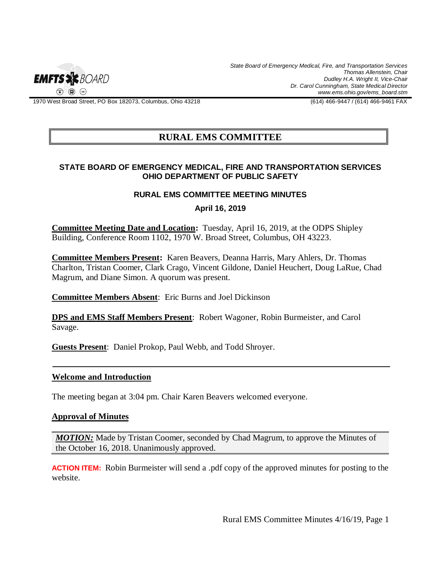

1970 West Broad Street, PO Box 182073, Columbus, Ohio 43218 (614) 466-9447 / (614) 466-9461 FAX

# **RURAL EMS COMMITTEE**

### **STATE BOARD OF EMERGENCY MEDICAL, FIRE AND TRANSPORTATION SERVICES OHIO DEPARTMENT OF PUBLIC SAFETY**

## **RURAL EMS COMMITTEE MEETING MINUTES**

**April 16, 2019**

**Committee Meeting Date and Location:** Tuesday, April 16, 2019, at the ODPS Shipley Building, Conference Room 1102, 1970 W. Broad Street, Columbus, OH 43223.

**Committee Members Present:** Karen Beavers, Deanna Harris, Mary Ahlers, Dr. Thomas Charlton, Tristan Coomer, Clark Crago, Vincent Gildone, Daniel Heuchert, Doug LaRue, Chad Magrum, and Diane Simon. A quorum was present.

**Committee Members Absent**: Eric Burns and Joel Dickinson

**DPS and EMS Staff Members Present**: Robert Wagoner, Robin Burmeister, and Carol Savage.

**Guests Present**: Daniel Prokop, Paul Webb, and Todd Shroyer.

#### **Welcome and Introduction**

The meeting began at 3:04 pm. Chair Karen Beavers welcomed everyone.

#### **Approval of Minutes**

*MOTION:* Made by Tristan Coomer, seconded by Chad Magrum, to approve the Minutes of the October 16, 2018. Unanimously approved.

**ACTION ITEM:**Robin Burmeister will send a .pdf copy of the approved minutes for posting to the website.

Rural EMS Committee Minutes 4/16/19, Page 1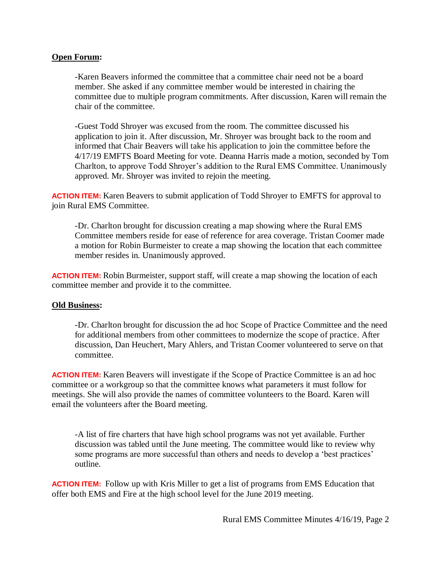## **Open Forum:**

-Karen Beavers informed the committee that a committee chair need not be a board member. She asked if any committee member would be interested in chairing the committee due to multiple program commitments. After discussion, Karen will remain the chair of the committee.

-Guest Todd Shroyer was excused from the room. The committee discussed his application to join it. After discussion, Mr. Shroyer was brought back to the room and informed that Chair Beavers will take his application to join the committee before the 4/17/19 EMFTS Board Meeting for vote. Deanna Harris made a motion, seconded by Tom Charlton, to approve Todd Shroyer's addition to the Rural EMS Committee. Unanimously approved. Mr. Shroyer was invited to rejoin the meeting.

**ACTION ITEM:** Karen Beavers to submit application of Todd Shroyer to EMFTS for approval to join Rural EMS Committee.

-Dr. Charlton brought for discussion creating a map showing where the Rural EMS Committee members reside for ease of reference for area coverage. Tristan Coomer made a motion for Robin Burmeister to create a map showing the location that each committee member resides in. Unanimously approved.

**ACTION ITEM:** Robin Burmeister, support staff, will create a map showing the location of each committee member and provide it to the committee.

#### **Old Business:**

-Dr. Charlton brought for discussion the ad hoc Scope of Practice Committee and the need for additional members from other committees to modernize the scope of practice. After discussion, Dan Heuchert, Mary Ahlers, and Tristan Coomer volunteered to serve on that committee.

**ACTION ITEM:** Karen Beavers will investigate if the Scope of Practice Committee is an ad hoc committee or a workgroup so that the committee knows what parameters it must follow for meetings. She will also provide the names of committee volunteers to the Board. Karen will email the volunteers after the Board meeting.

-A list of fire charters that have high school programs was not yet available. Further discussion was tabled until the June meeting. The committee would like to review why some programs are more successful than others and needs to develop a 'best practices' outline.

**ACTION ITEM:**Follow up with Kris Miller to get a list of programs from EMS Education that offer both EMS and Fire at the high school level for the June 2019 meeting.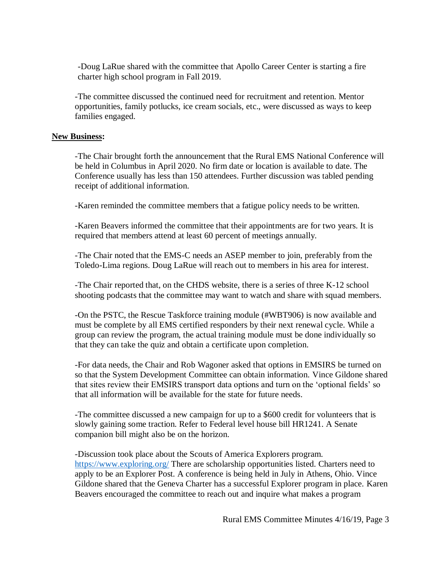-Doug LaRue shared with the committee that Apollo Career Center is starting a fire charter high school program in Fall 2019.

-The committee discussed the continued need for recruitment and retention. Mentor opportunities, family potlucks, ice cream socials, etc., were discussed as ways to keep families engaged.

## **New Business:**

-The Chair brought forth the announcement that the Rural EMS National Conference will be held in Columbus in April 2020. No firm date or location is available to date. The Conference usually has less than 150 attendees. Further discussion was tabled pending receipt of additional information.

-Karen reminded the committee members that a fatigue policy needs to be written.

-Karen Beavers informed the committee that their appointments are for two years. It is required that members attend at least 60 percent of meetings annually.

-The Chair noted that the EMS-C needs an ASEP member to join, preferably from the Toledo-Lima regions. Doug LaRue will reach out to members in his area for interest.

-The Chair reported that, on the CHDS website, there is a series of three K-12 school shooting podcasts that the committee may want to watch and share with squad members.

-On the PSTC, the Rescue Taskforce training module (#WBT906) is now available and must be complete by all EMS certified responders by their next renewal cycle. While a group can review the program, the actual training module must be done individually so that they can take the quiz and obtain a certificate upon completion.

-For data needs, the Chair and Rob Wagoner asked that options in EMSIRS be turned on so that the System Development Committee can obtain information. Vince Gildone shared that sites review their EMSIRS transport data options and turn on the 'optional fields' so that all information will be available for the state for future needs.

-The committee discussed a new campaign for up to a \$600 credit for volunteers that is slowly gaining some traction. Refer to Federal level house bill HR1241. A Senate companion bill might also be on the horizon.

-Discussion took place about the Scouts of America Explorers program. <https://www.exploring.org/> There are scholarship opportunities listed. Charters need to apply to be an Explorer Post. A conference is being held in July in Athens, Ohio. Vince Gildone shared that the Geneva Charter has a successful Explorer program in place. Karen Beavers encouraged the committee to reach out and inquire what makes a program